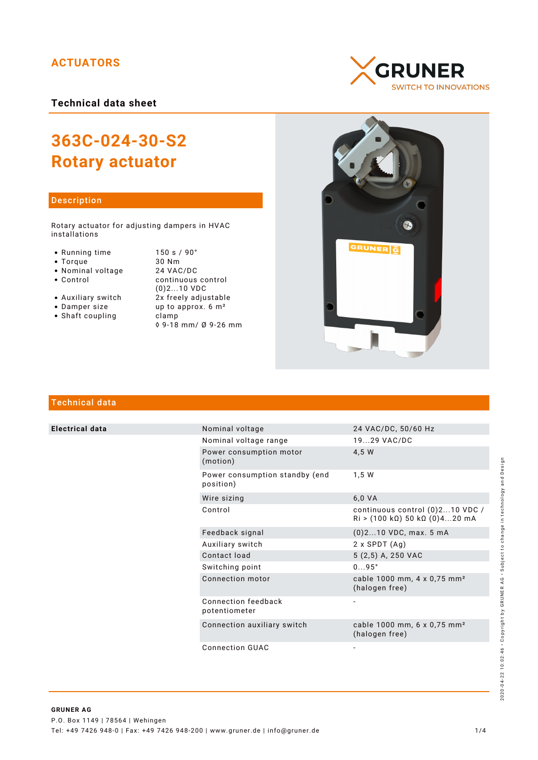# **ACTUATORS**

**Technical data sheet**

# **363C-024-30-S2 Rotary actuator**

## Description

Rotary actuator for adjusting dampers in HVAC installations

- 
- 
- 
- Nominal voltage<br>• Control
- 
- 
- Shaft coupling becamp

• Running time 150 s / 90°<br>• Torque 30 Nm • Torque 30 Nm<br>• Nominal voltage 24 VAC/DC continuous control (0)2...10 VDC • Auxiliary switch  $2x$  freely adjustable<br>• Damper size  $2x$  freely adjustable up to approx.  $6 \text{ m}^2$ ◊ 9-18 mm/ Ø 9-26 mm





# Technical data

**Electrical data** 

| Nominal voltage                             | 24 VAC/DC, 50/60 Hz                                                |
|---------------------------------------------|--------------------------------------------------------------------|
| Nominal voltage range                       | 1929 VAC/DC                                                        |
| Power consumption motor<br>(motion)         | 4,5 W                                                              |
| Power consumption standby (end<br>position) | 1,5 W                                                              |
| Wire sizing                                 | 6,0 VA                                                             |
| Control                                     | continuous control (0)210 VDC /<br>$Ri$ > (100 kΩ) 50 kΩ (0)420 mA |
| Feedback signal                             | $(0)$ 210 VDC, max. 5 mA                                           |
| Auxiliary switch                            | $2 \times$ SPDT $(Aq)$                                             |
| Contact load                                | 5 (2,5) A, 250 VAC                                                 |
| Switching point                             | $095^\circ$                                                        |
| Connection motor                            | cable 1000 mm, 4 x 0,75 mm <sup>2</sup><br>(halogen free)          |
| Connection feedback<br>potentiometer        |                                                                    |
| Connection auxiliary switch                 | cable 1000 mm, 6 x 0,75 mm <sup>2</sup><br>(halogen free)          |
|                                             |                                                                    |

Connection GUAC

2020-04-22 10:02:46 · Copyright by GRUNER AG · Subject to change in technology and Design 2020-04-22 10:02:46 • Copyright by GRUNER AG • Subject to change in technology and Design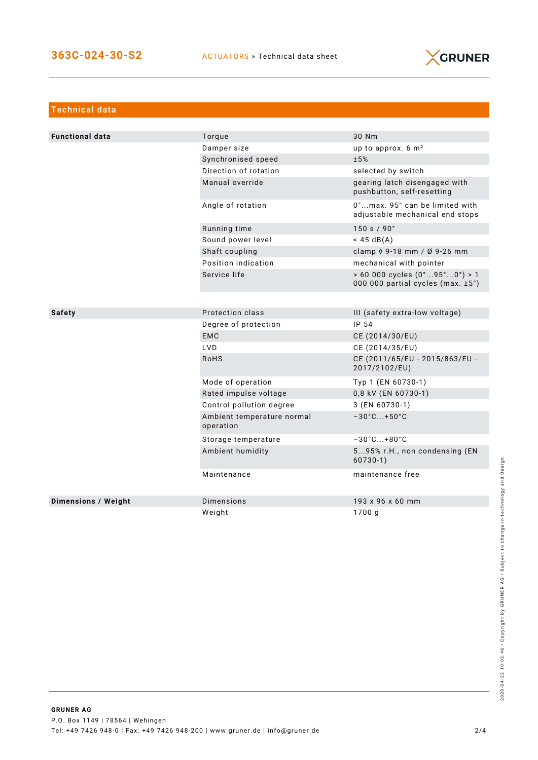

| <b>Technical data</b>      |                                         |                                                                                            |
|----------------------------|-----------------------------------------|--------------------------------------------------------------------------------------------|
|                            |                                         |                                                                                            |
| <b>Functional data</b>     | Torque                                  | 30 Nm                                                                                      |
|                            | Damper size                             | up to approx. 6 m <sup>2</sup>                                                             |
|                            | Synchronised speed                      | ±5%                                                                                        |
|                            | Direction of rotation                   | selected by switch                                                                         |
|                            | Manual override                         | gearing latch disengaged with<br>pushbutton, self-resetting                                |
|                            | Angle of rotation                       | 0°max. 95° can be limited with<br>adjustable mechanical end stops                          |
|                            | Running time                            | 150 s / 90°                                                                                |
|                            | Sound power level                       | $<$ 45 dB(A)                                                                               |
|                            | Shaft coupling                          | clamp 0 9-18 mm / Ø 9-26 mm                                                                |
|                            | Position indication                     | mechanical with pointer                                                                    |
|                            | Service life                            | $> 60000$ cycles $(0^{\circ}95^{\circ}0^{\circ}) > 1$<br>000 000 partial cycles (max. ±5°) |
|                            |                                         |                                                                                            |
| <b>Safety</b>              | Protection class                        | III (safety extra-low voltage)                                                             |
|                            | Degree of protection                    | IP 54                                                                                      |
|                            | <b>EMC</b>                              | CE (2014/30/EU)                                                                            |
|                            | LVD                                     | CE (2014/35/EU)                                                                            |
|                            | <b>RoHS</b>                             | CE (2011/65/EU - 2015/863/EU -<br>2017/2102/EU)                                            |
|                            | Mode of operation                       | Typ 1 (EN 60730-1)                                                                         |
|                            | Rated impulse voltage                   | 0,8 kV (EN 60730-1)                                                                        |
|                            | Control pollution degree                | 3 (EN 60730-1)                                                                             |
|                            | Ambient temperature normal<br>operation | $-30^{\circ}$ C +50 $^{\circ}$ C                                                           |
|                            | Storage temperature                     | $-30^{\circ}$ C +80 $^{\circ}$ C                                                           |
|                            | Ambient humidity                        | 595% r.H., non condensing (EN<br>$60730-1)$                                                |
|                            | Maintenance                             | maintenance free                                                                           |
| <b>Dimensions / Weight</b> | Dimensions                              | 193 x 96 x 60 mm                                                                           |
|                            | Weight                                  | 1700 g                                                                                     |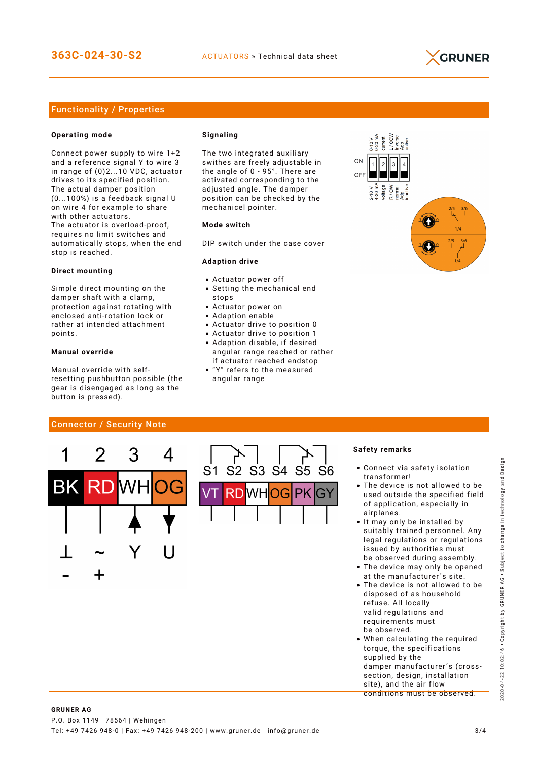

## Functionality / Properties

#### **Operating mode**

Connect power supply to wire 1+2 and a reference signal Y to wire 3 in range of (0)2...10 VDC, actuator drives to its specified position. The actual damper position (0...100%) is a feedback signal U on wire 4 for example to share with other actuators. The actuator is overload-proof, requires no limit switches and automatically stops, when the end stop is reached.

#### **Direct mounting**

Simple direct mounting on the damper shaft with a clamp, protection against rotating with enclosed anti-rotation lock or rather at intended attachment points.

#### **Manual override**

Manual override with selfresetting pushbutton possible (the gear is disengaged as long as the button is pressed).

#### **Signaling**

The two integrated auxiliary swithes are freely adjustable in the angle of 0 - 95°. There are activated corresponding to the adjusted angle. The damper position can be checked by the mechanicel pointer.

#### **Mode switch**

DIP switch under the case cover

#### **Adaption drive**

- Actuator power off
- Setting the mechanical end stops
- Actuator power on
- Adaption enable
- Actuator drive to position 0
- Actuator drive to position 1 Adaption disable, if desired angular range reached or rather
- if actuator reached endstop "Y" refers to the measured
- angular range



## Connector / Security Note



#### **Safety remarks**

- Connect via safety isolation transformer!
- The device is not allowed to be used outside the specified field of application, especially in airplanes.
- It may only be installed by suitably trained personnel. Any legal regulations or regulations issued by authorities must be observed during assembly.
- The device may only be opened at the manufacturer´s site.
- The device is not allowed to be disposed of as household refuse. All locally valid regulations and requirements must be observed.
- When calculating the required torque, the specifications supplied by the damper manufacturer´s (crosssection, design, installation site), and the air flow conditions must be observed.